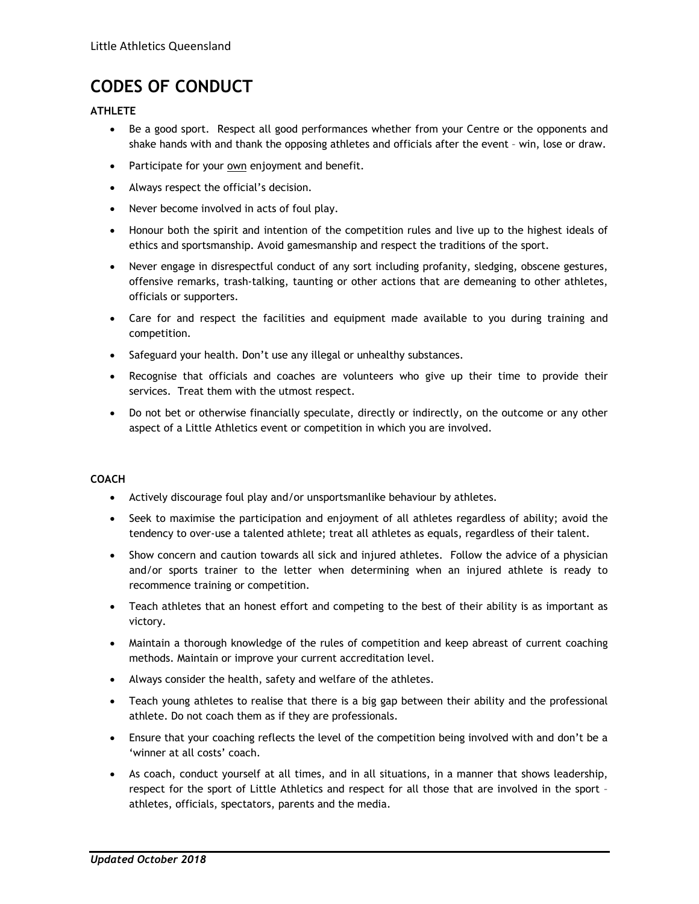# **CODES OF CONDUCT**

## **ATHLETE**

- Be a good sport. Respect all good performances whether from your Centre or the opponents and shake hands with and thank the opposing athletes and officials after the event – win, lose or draw.
- Participate for your own enjoyment and benefit.
- Always respect the official's decision.
- Never become involved in acts of foul play.
- Honour both the spirit and intention of the competition rules and live up to the highest ideals of ethics and sportsmanship. Avoid gamesmanship and respect the traditions of the sport.
- Never engage in disrespectful conduct of any sort including profanity, sledging, obscene gestures, offensive remarks, trash-talking, taunting or other actions that are demeaning to other athletes, officials or supporters.
- Care for and respect the facilities and equipment made available to you during training and competition.
- Safeguard your health. Don't use any illegal or unhealthy substances.
- Recognise that officials and coaches are volunteers who give up their time to provide their services. Treat them with the utmost respect.
- Do not bet or otherwise financially speculate, directly or indirectly, on the outcome or any other aspect of a Little Athletics event or competition in which you are involved.

### **COACH**

- Actively discourage foul play and/or unsportsmanlike behaviour by athletes.
- Seek to maximise the participation and enjoyment of all athletes regardless of ability; avoid the tendency to over-use a talented athlete; treat all athletes as equals, regardless of their talent.
- Show concern and caution towards all sick and injured athletes. Follow the advice of a physician and/or sports trainer to the letter when determining when an injured athlete is ready to recommence training or competition.
- Teach athletes that an honest effort and competing to the best of their ability is as important as victory.
- Maintain a thorough knowledge of the rules of competition and keep abreast of current coaching methods. Maintain or improve your current accreditation level.
- Always consider the health, safety and welfare of the athletes.
- Teach young athletes to realise that there is a big gap between their ability and the professional athlete. Do not coach them as if they are professionals.
- Ensure that your coaching reflects the level of the competition being involved with and don't be a 'winner at all costs' coach.
- As coach, conduct yourself at all times, and in all situations, in a manner that shows leadership, respect for the sport of Little Athletics and respect for all those that are involved in the sport – athletes, officials, spectators, parents and the media.